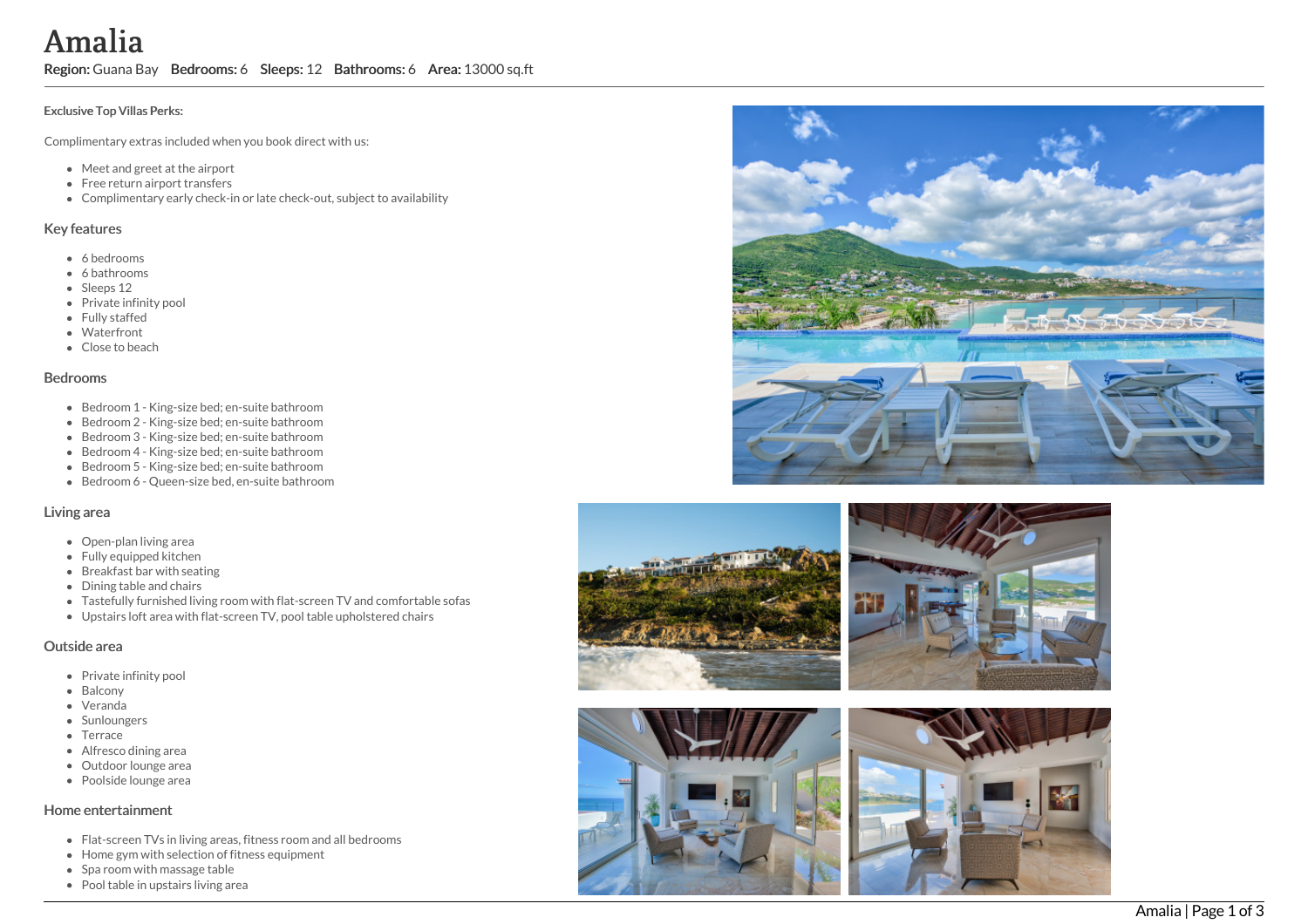A m a l i a

Region: Guana Bay Bedrooms: 6 Sleeps: 12 Bathrooms: 6 Area: 13000 sq.ft

#### Exclusive Top Villas Perks:

Complimentary extras included when you book direct with us:

- Meet and greet at the airport
- Free return airport transfers
- Complimentary early check-in or late check-out, subject to availability

### Key features

- 6 b e d r o o m s
- 6 bathrooms
- Sleeps 12
- Private infinity pool
- Fully staffed
- Waterfront
- Close to beach

#### **Bedrooms**

- Bedroom 1 King-size bed; en-suite bathroom
- Bedroom 2 King-size bed; en-suite bathroom
- Bedroom 3 King-size bed; en-suite bathroom
- Bedroom 4 King-size bed; en-suite bathroom
- Bedroom 5 King-size bed; en-suite bathroom
- Bedroom 6 Queen-size bed, en-suite bathroom

## Living area

- Open-plan living area
- Fully equipped kitchen
- Breakfast bar with seating
- Dining table and chairs
- Tastefully furnished living room with flat-screen TV and comfortable sofas
- Upstairs loft area with flat-screen TV, pool table upholstered chairs

### Outside area

- Private infinity pool
- Balcony
- Veranda
- Sunloungers
- Terrace
- Alfresco dining area
- Outdoor lounge are a
- Poolside lounge area

### Home entertainment

- Flat-screen TVs in living areas, fitness room and all bedrooms
- Home gym with selection of fitness equipment
- Spa room with massage table
- Pool table in upstairs living area









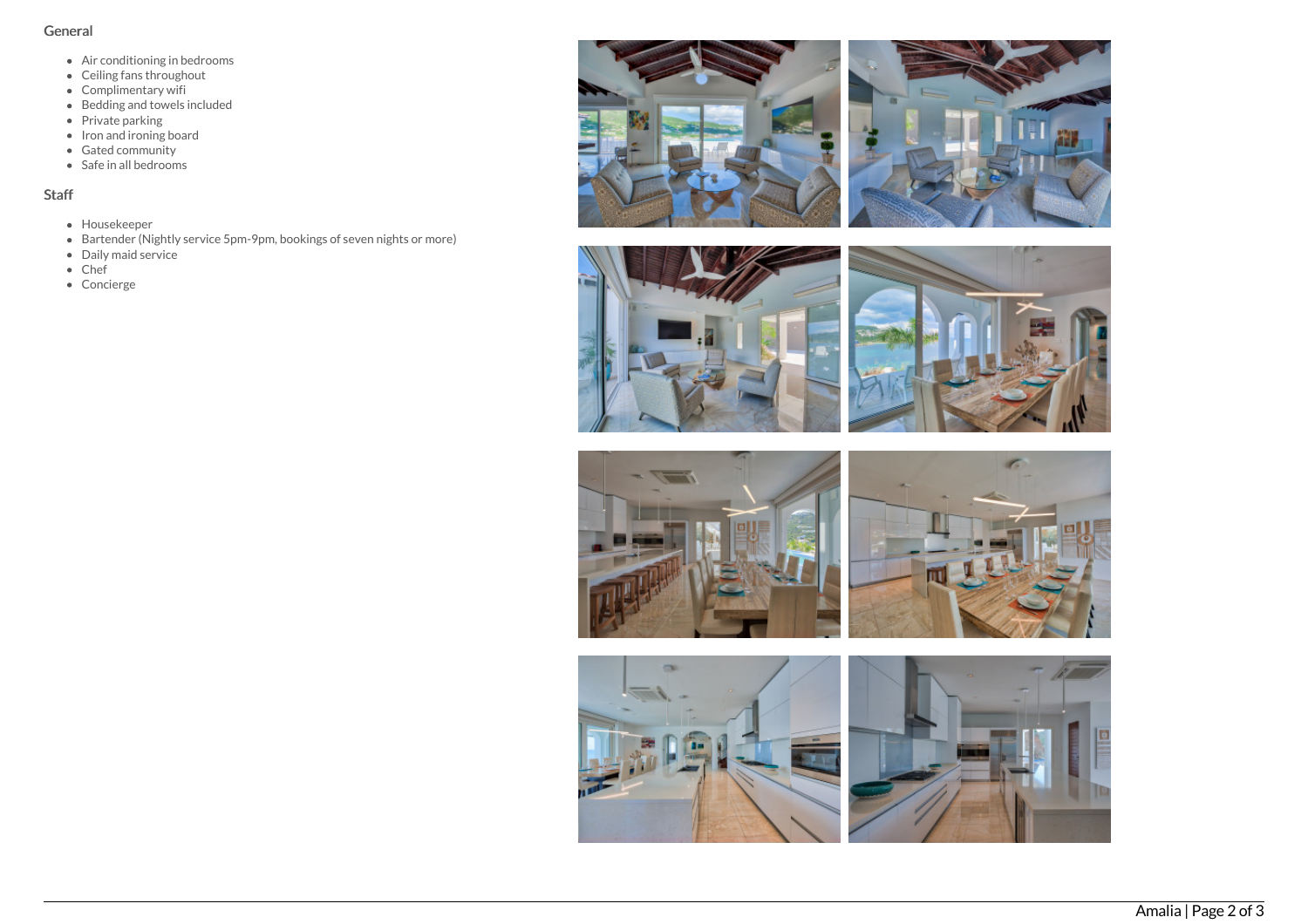# General

- Air conditioning in bedrooms
- Ceiling fans throughout
- Complimentary wifi
- Bedding and towels included
- Private parking
- Iron and ironing board
- Gated community
- Safe in all bedrooms

# Staff

- Housekeeper
- Bartender (Nightly service 5pm-9pm, bookings of seven nights or more)
- Daily maid service
- Chef
- Concierge